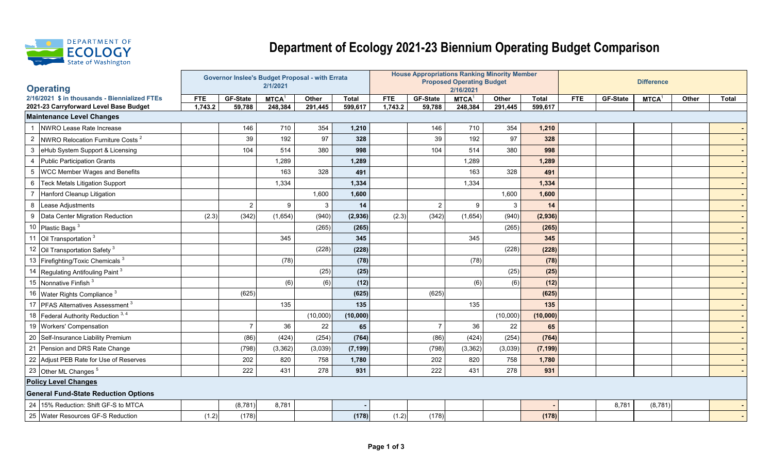

## **Department of Ecology 2021-23 Biennium Operating Budget Comparison**

|                                        |                                               |            | Governor Inslee's Budget Proposal - with Errata |             |          |          |            |                 | <b>House Appropriations Ranking Minority Member</b> |              |              |                   |                 |             |       |              |  |
|----------------------------------------|-----------------------------------------------|------------|-------------------------------------------------|-------------|----------|----------|------------|-----------------|-----------------------------------------------------|--------------|--------------|-------------------|-----------------|-------------|-------|--------------|--|
| <b>Operating</b>                       |                                               |            |                                                 | 2/1/2021    |          |          |            |                 | <b>Proposed Operating Budget</b><br>2/16/2021       |              |              | <b>Difference</b> |                 |             |       |              |  |
|                                        | 2/16/2021 \$ in thousands - Biennialized FTEs | <b>FTE</b> | GF-State                                        | <b>MTCA</b> | Other    | Total    | <b>FTE</b> | <b>GF-State</b> | MTCA <sup>1</sup>                                   | Other        | <b>Total</b> | <b>FTE</b>        | <b>GF-State</b> | <b>MTCA</b> | Other | <b>Total</b> |  |
| 2021-23 Carryforward Level Base Budget |                                               | 1,743.2    | 59,788                                          | 248,384     | 291,445  | 599,617  | 1,743.2    | 59,788          | 248,384                                             | 291,445      | 599,617      |                   |                 |             |       |              |  |
| <b>Maintenance Level Changes</b>       |                                               |            |                                                 |             |          |          |            |                 |                                                     |              |              |                   |                 |             |       |              |  |
|                                        | NWRO Lease Rate Increase                      |            | 146                                             | 710         | 354      | 1,210    |            | 146             | 710                                                 | 354          | 1,210        |                   |                 |             |       |              |  |
| $\overline{2}$                         | NWRO Relocation Furniture Costs <sup>2</sup>  |            | 39                                              | 192         | 97       | 328      |            | 39              | 192                                                 | 97           | 328          |                   |                 |             |       |              |  |
| 3                                      | eHub System Support & Licensing               |            | 104                                             | 514         | 380      | 998      |            | 104             | 514                                                 | 380          | 998          |                   |                 |             |       |              |  |
|                                        | <b>Public Participation Grants</b>            |            |                                                 | 1,289       |          | 1,289    |            |                 | 1,289                                               |              | 1,289        |                   |                 |             |       |              |  |
| 5                                      | <b>WCC Member Wages and Benefits</b>          |            |                                                 | 163         | 328      | 491      |            |                 | 163                                                 | 328          | 491          |                   |                 |             |       |              |  |
| 6                                      | <b>Teck Metals Litigation Support</b>         |            |                                                 | 1,334       |          | 1,334    |            |                 | 1,334                                               |              | 1,334        |                   |                 |             |       |              |  |
|                                        | Hanford Cleanup Litigation                    |            |                                                 |             | 1,600    | 1,600    |            |                 |                                                     | 1,600        | 1,600        |                   |                 |             |       |              |  |
| 8                                      | Lease Adjustments                             |            | $\overline{2}$                                  | 9           | 3        | 14       |            | 2               | 9                                                   | $\mathbf{3}$ | 14           |                   |                 |             |       |              |  |
| 9                                      | Data Center Migration Reduction               | (2.3)      | (342)                                           | (1,654)     | (940)    | (2,936)  | (2.3)      | (342)           | (1,654)                                             | (940)        | (2,936)      |                   |                 |             |       |              |  |
|                                        | Plastic Bags <sup>3</sup>                     |            |                                                 |             | (265)    | (265)    |            |                 |                                                     | (265)        | (265)        |                   |                 |             |       |              |  |
| 11                                     | Oil Transportation <sup>3</sup>               |            |                                                 | 345         |          | 345      |            |                 | 345                                                 |              | 345          |                   |                 |             |       |              |  |
|                                        | Oil Transportation Safety <sup>3</sup>        |            |                                                 |             | (228)    | (228)    |            |                 |                                                     | (228)        | (228)        |                   |                 |             |       |              |  |
|                                        | 13 Firefighting/Toxic Chemicals <sup>3</sup>  |            |                                                 | (78)        |          | (78)     |            |                 | (78)                                                |              | (78)         |                   |                 |             |       |              |  |
| 14                                     | Regulating Antifouling Paint <sup>3</sup>     |            |                                                 |             | (25)     | (25)     |            |                 |                                                     | (25)         | (25)         |                   |                 |             |       |              |  |
|                                        | Nonnative Finfish <sup>3</sup>                |            |                                                 | (6)         | (6)      | (12)     |            |                 | (6)                                                 | (6)          | (12)         |                   |                 |             |       |              |  |
|                                        | 16 Water Rights Compliance <sup>3</sup>       |            | (625)                                           |             |          | (625)    |            | (625)           |                                                     |              | (625)        |                   |                 |             |       |              |  |
| 17                                     | PFAS Alternatives Assessment <sup>3</sup>     |            |                                                 | 135         |          | 135      |            |                 | 135                                                 |              | 135          |                   |                 |             |       |              |  |
|                                        | 18 Federal Authority Reduction 3, 4           |            |                                                 |             | (10,000) | (10,000) |            |                 |                                                     | (10,000)     | (10,000)     |                   |                 |             |       |              |  |
|                                        | 19 Workers' Compensation                      |            | $\overline{7}$                                  | 36          | 22       | 65       |            | $\overline{7}$  | 36                                                  | 22           | 65           |                   |                 |             |       |              |  |
| 20                                     | Self-Insurance Liability Premium              |            | (86)                                            | (424)       | (254)    | (764)    |            | (86)            | (424)                                               | (254)        | (764)        |                   |                 |             |       |              |  |
|                                        | Pension and DRS Rate Change                   |            | (798)                                           | (3, 362)    | (3,039)  | (7, 199) |            | (798)           | (3, 362)                                            | (3,039)      | (7, 199)     |                   |                 |             |       |              |  |
|                                        | 22 Adjust PEB Rate for Use of Reserves        |            | 202                                             | 820         | 758      | 1,780    |            | 202             | 820                                                 | 758          | 1,780        |                   |                 |             |       |              |  |
|                                        | 23 Other ML Changes <sup>5</sup>              |            | 222                                             | 431         | 278      | 931      |            | 222             | 431                                                 | 278          | 931          |                   |                 |             |       |              |  |
|                                        | <b>Policy Level Changes</b>                   |            |                                                 |             |          |          |            |                 |                                                     |              |              |                   |                 |             |       |              |  |
|                                        | <b>General Fund-State Reduction Options</b>   |            |                                                 |             |          |          |            |                 |                                                     |              |              |                   |                 |             |       |              |  |
|                                        | 24 15% Reduction: Shift GF-S to MTCA          |            | (8, 781)                                        | 8,781       |          |          |            |                 |                                                     |              |              |                   | 8,781           | (8,781)     |       |              |  |
|                                        | 25 Water Resources GF-S Reduction             | (1.2)      | (178)                                           |             |          | (178)    | (1.2)      | (178)           |                                                     |              | (178)        |                   |                 |             |       |              |  |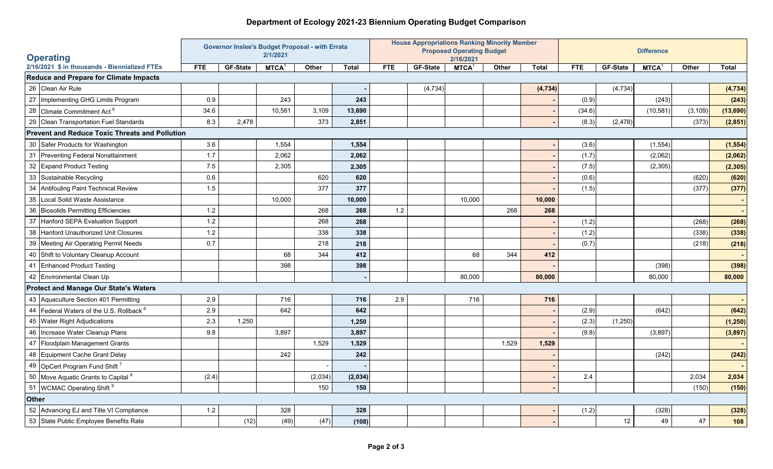## **Department of Ecology 2021-23 Biennium Operating Budget Comparison**

| <b>Operating</b> |                                                       |            |                 | <b>Governor Inslee's Budget Proposal - with Errata</b><br>2/1/2021 |         |              |       | <b>House Appropriations Ranking Minority Member</b> | <b>Proposed Operating Budget</b><br>2/16/2021 |       |              | <b>Difference</b> |          |             |          |              |
|------------------|-------------------------------------------------------|------------|-----------------|--------------------------------------------------------------------|---------|--------------|-------|-----------------------------------------------------|-----------------------------------------------|-------|--------------|-------------------|----------|-------------|----------|--------------|
|                  | 2/16/2021 \$ in thousands - Biennialized FTEs         | <b>FTE</b> | <b>GF-State</b> | <b>MTCA</b>                                                        | Other   | <b>Total</b> | FTE.  | <b>GF-State</b>                                     | MTCA <sup>1</sup>                             | Other | <b>Total</b> | <b>FTE</b>        | GF-State | <b>MTCA</b> | Other    | <b>Total</b> |
|                  | <b>Reduce and Prepare for Climate Impacts</b>         |            |                 |                                                                    |         |              |       |                                                     |                                               |       |              |                   |          |             |          |              |
|                  | 26 Clean Air Rule                                     |            |                 |                                                                    |         |              |       | (4, 734)                                            |                                               |       | (4, 734)     |                   | (4, 734) |             |          | (4, 734)     |
|                  | 27   Implementing GHG Limits Program                  | 0.9        |                 | 243                                                                |         | 243          |       |                                                     |                                               |       |              | (0.9)             |          | (243)       |          | (243)        |
| 28               | Climate Commitment Act <sup>6</sup>                   | 34.6       |                 | 10,581                                                             | 3,109   | 13,690       |       |                                                     |                                               |       |              | (34.6)            |          | (10, 581)   | (3, 109) | (13,690)     |
|                  | 29 Clean Transportation Fuel Standards                | 8.3        | 2,478           |                                                                    | 373     | 2,851        |       |                                                     |                                               |       |              | (8.3)             | (2, 478) |             | (373)    | (2, 851)     |
|                  | <b>Prevent and Reduce Toxic Threats and Pollution</b> |            |                 |                                                                    |         |              |       |                                                     |                                               |       |              |                   |          |             |          |              |
|                  | 30 Safer Products for Washington                      | 3.6        |                 | 1,554                                                              |         | 1,554        |       |                                                     |                                               |       |              | (3.6)             |          | (1, 554)    |          | (1, 554)     |
| 31               | Preventing Federal Nonattainment                      | 1.7        |                 | 2,062                                                              |         | 2,062        |       |                                                     |                                               |       |              | (1.7)             |          | (2,062)     |          | (2,062)      |
|                  | 32 Expand Product Testing                             | 7.5        |                 | 2,305                                                              |         | 2,305        |       |                                                     |                                               |       |              | (7.5)             |          | (2,305)     |          | (2, 305)     |
|                  | 33 Sustainable Recycling                              | 0.6        |                 |                                                                    | 620     | 620          |       |                                                     |                                               |       |              | (0.6)             |          |             | (620)    | (620)        |
| 34               | Antifouling Paint Technical Review                    | 1.5        |                 |                                                                    | 377     | 377          |       |                                                     |                                               |       |              | (1.5)             |          |             | (377)    | (377)        |
| 35               | Local Solid Waste Assistance                          |            |                 | 10,000                                                             |         | 10,000       |       |                                                     | 10,000                                        |       | 10,000       |                   |          |             |          |              |
|                  | 36 Biosolids Permitting Efficiencies                  | 1.2        |                 |                                                                    | 268     | 268          | $1.2$ |                                                     |                                               | 268   | 268          |                   |          |             |          |              |
|                  | 37 Hanford SEPA Evaluation Support                    | $1.2$      |                 |                                                                    | 268     | 268          |       |                                                     |                                               |       |              | (1.2)             |          |             | (268)    | (268)        |
| 38               | Hanford Unauthorized Unit Closures                    | $1.2$      |                 |                                                                    | 338     | 338          |       |                                                     |                                               |       |              | (1.2)             |          |             | (338)    | (338)        |
| 39               | <b>Meeting Air Operating Permit Needs</b>             | 0.7        |                 |                                                                    | 218     | 218          |       |                                                     |                                               |       |              | (0.7)             |          |             | (218)    | (218)        |
|                  | 40 Shift to Voluntary Cleanup Account                 |            |                 | 68                                                                 | 344     | 412          |       |                                                     | 68                                            | 344   | 412          |                   |          |             |          |              |
|                  | 41 Enhanced Product Testing                           |            |                 | 398                                                                |         | 398          |       |                                                     |                                               |       |              |                   |          | (398)       |          | (398)        |
|                  | 42 Environmental Clean Up                             |            |                 |                                                                    |         |              |       |                                                     | 80,000                                        |       | 80,000       |                   |          | 80,000      |          | 80,000       |
|                  | <b>Protect and Manage Our State's Waters</b>          |            |                 |                                                                    |         |              |       |                                                     |                                               |       |              |                   |          |             |          |              |
|                  | 43 Aquaculture Section 401 Permitting                 | 2.9        |                 | 716                                                                |         | 716          | 2.9   |                                                     | 716                                           |       | 716          |                   |          |             |          |              |
| 44               | Federal Waters of the U.S. Rollback 6                 | 2.9        |                 | 642                                                                |         | 642          |       |                                                     |                                               |       |              | (2.9)             |          | (642)       |          | (642)        |
| 45               | <b>Water Right Adjudications</b>                      | 2.3        | 1,250           |                                                                    |         | 1,250        |       |                                                     |                                               |       |              | (2.3)             | (1,250)  |             |          | (1, 250)     |
| 46               | Increase Water Cleanup Plans                          | 9.8        |                 | 3,897                                                              |         | 3,897        |       |                                                     |                                               |       |              | (9.8)             |          | (3,897)     |          | (3,897)      |
|                  | 47 Floodplain Management Grants                       |            |                 |                                                                    | 1,529   | 1,529        |       |                                                     |                                               | 1,529 | 1,529        |                   |          |             |          |              |
|                  | 48 Equipment Cache Grant Delay                        |            |                 | 242                                                                |         | 242          |       |                                                     |                                               |       |              |                   |          | (242)       |          | (242)        |
|                  | 49 OpCert Program Fund Shift <sup>7</sup>             |            |                 |                                                                    |         |              |       |                                                     |                                               |       |              |                   |          |             |          |              |
|                  | 50 Move Aquatic Grants to Capital 8                   | (2.4)      |                 |                                                                    | (2,034) | (2,034)      |       |                                                     |                                               |       |              | 2.4               |          |             | 2,034    | 2,034        |
|                  | 51 WCMAC Operating Shift <sup>9</sup>                 |            |                 |                                                                    | 150     | 150          |       |                                                     |                                               |       |              |                   |          |             | (150)    | (150)        |
| <b>Other</b>     |                                                       |            |                 |                                                                    |         |              |       |                                                     |                                               |       |              |                   |          |             |          |              |
|                  | 52 Advancing EJ and Title VI Compliance               | $1.2$      |                 | 328                                                                |         | 328          |       |                                                     |                                               |       |              | (1.2)             |          | (328)       |          | (328)        |
|                  | 53 State Public Employee Benefits Rate                |            | (12)            | (49)                                                               | (47)    | (108)        |       |                                                     |                                               |       |              |                   | 12       | 49          | 47       | 108          |
|                  |                                                       |            |                 |                                                                    |         |              |       |                                                     |                                               |       |              |                   |          |             |          |              |